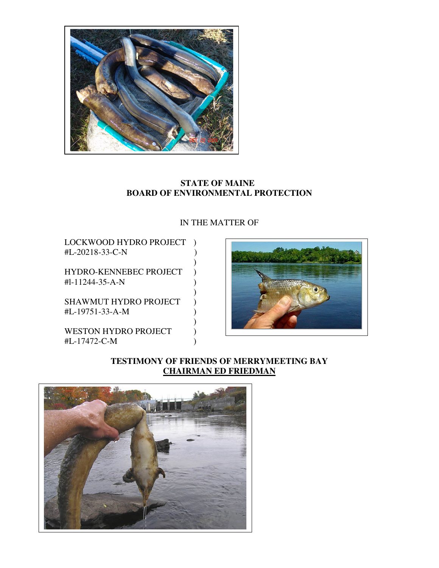

## **STATE OF MAINE BOARD OF ENVIRONMENTAL PROTECTION**

# IN THE MATTER OF

LOCKWOOD HYDRO PROJECT ) #L-20218-33-C-N )

 $\overline{\phantom{a}}$ HYDRO-KENNEBEC PROJECT )  $#1-11244-35-A-N$ 

 $)$ SHAWMUT HYDRO PROJECT ) #L-19751-33-A-M )

 $)$ WESTON HYDRO PROJECT #L-17472-C-M )



**TESTIMONY OF FRIENDS OF MERRYMEETING BAY CHAIRMAN ED FRIEDMAN**

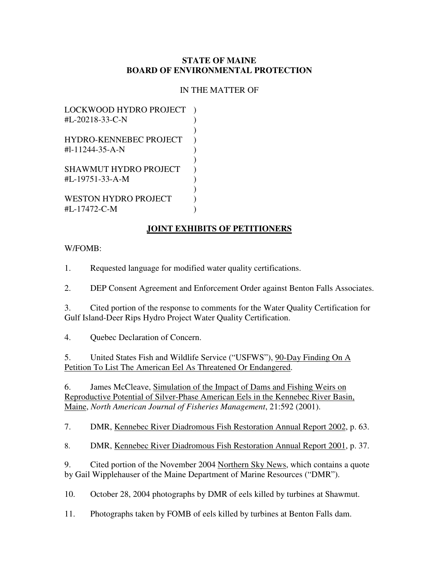### **STATE OF MAINE BOARD OF ENVIRONMENTAL PROTECTION**

## IN THE MATTER OF

LOCKWOOD HYDRO PROJECT ) #L-20218-33-C-N )  $)$ HYDRO-KENNEBEC PROJECT )  $\text{H1-11244-35-A-N}$  )  $)$ SHAWMUT HYDRO PROJECT )  $#I - 19751 - 33 - A - M$  )  $)$ WESTON HYDRO PROJECT  $\qquad$ ) #L-17472-C-M )

### **JOINT EXHIBITS OF PETITIONERS**

### W/FOMB:

1. Requested language for modified water quality certifications.

2. DEP Consent Agreement and Enforcement Order against Benton Falls Associates.

3. Cited portion of the response to comments for the Water Quality Certification for Gulf Island-Deer Rips Hydro Project Water Quality Certification.

4. Quebec Declaration of Concern.

5. United States Fish and Wildlife Service ("USFWS"), 90-Day Finding On A Petition To List The American Eel As Threatened Or Endangered.

6. James McCleave, Simulation of the Impact of Dams and Fishing Weirs on Reproductive Potential of Silver-Phase American Eels in the Kennebec River Basin, Maine, *North American Journal of Fisheries Management*, 21:592 (2001).

7. DMR, Kennebec River Diadromous Fish Restoration Annual Report 2002, p. 63.

8. DMR, Kennebec River Diadromous Fish Restoration Annual Report 2001, p. 37.

9. Cited portion of the November 2004 Northern Sky News, which contains a quote by Gail Wipplehauser of the Maine Department of Marine Resources ("DMR").

10. October 28, 2004 photographs by DMR of eels killed by turbines at Shawmut.

11. Photographs taken by FOMB of eels killed by turbines at Benton Falls dam.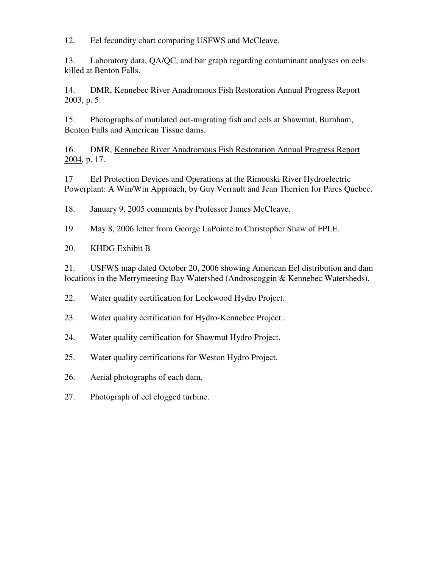12. Eel fecundity chart comparing USFWS and McCleave.

13. Laboratory data, QA/QC, and bar graph regarding contaminant analyses on eels killed at Benton Falls.

14. DMR, Kennebec River Anadromous Fish Restoration Annual Progress Report 2003, p. 5.

15. Photographs of mutilated out-migrating fish and eels at Shawmut, Burnham, Benton Falls and American Tissue dams.

16. DMR, Kennebec River Anadromous Fish Restoration Annual Progress Report 2004, p. 17.

17 Eel Protection Devices and Operations at the Rimouski River Hydroelectric Powerplant: A Win/Win Approach, by Guy Verrault and Jean Therrien for Parcs Quebec.

18. January 9, 2005 comments by Professor James McCleave.

- 19. May 8, 2006 letter from George LaPointe to Christopher Shaw of FPLE.
- 20. KHDG Exhibit B

21. USFWS map dated October 20, 2006 showing American Eel distribution and dam locations in the Merrymeeting Bay Watershed (Androscoggin & Kennebec Watersheds).

22. Water quality certification for Lockwood Hydro Project.

- 23. Water quality certification for Hydro-Kennebec Project..
- 24. Water quality certification for Shawmut Hydro Project.
- 25. Water quality certifications for Weston Hydro Project.
- 26. Aerial photographs of each dam.
- 27. Photograph of eel clogged turbine.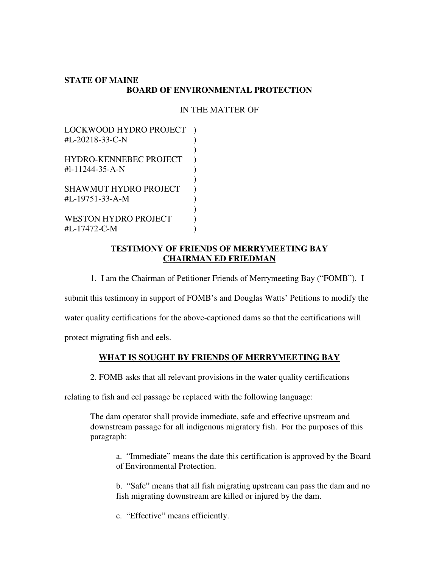### **STATE OF MAINE BOARD OF ENVIRONMENTAL PROTECTION**

## IN THE MATTER OF

LOCKWOOD HYDRO PROJECT ) #L-20218-33-C-N )  $)$ HYDRO-KENNEBEC PROJECT )  $#l-11244-35-A-N$  )  $)$ SHAWMUT HYDRO PROJECT )  $\text{HL}-19751-33-A-M$  )  $)$ WESTON HYDRO PROJECT ) #L-17472-C-M )

### **TESTIMONY OF FRIENDS OF MERRYMEETING BAY CHAIRMAN ED FRIEDMAN**

1. I am the Chairman of Petitioner Friends of Merrymeeting Bay ("FOMB"). I

submit this testimony in support of FOMB's and Douglas Watts' Petitions to modify the

water quality certifications for the above-captioned dams so that the certifications will

protect migrating fish and eels.

## **WHAT IS SOUGHT BY FRIENDS OF MERRYMEETING BAY**

2. FOMB asks that all relevant provisions in the water quality certifications

relating to fish and eel passage be replaced with the following language:

The dam operator shall provide immediate, safe and effective upstream and downstream passage for all indigenous migratory fish. For the purposes of this paragraph:

a. "Immediate" means the date this certification is approved by the Board of Environmental Protection.

b. "Safe" means that all fish migrating upstream can pass the dam and no fish migrating downstream are killed or injured by the dam.

c. "Effective" means efficiently.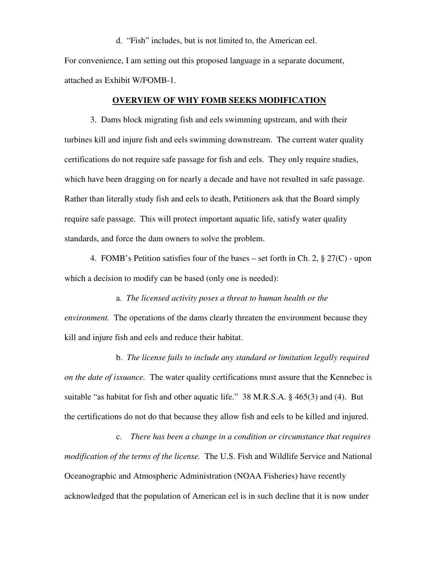d. "Fish" includes, but is not limited to, the American eel.

For convenience, I am setting out this proposed language in a separate document, attached as Exhibit W/FOMB-1.

#### **OVERVIEW OF WHY FOMB SEEKS MODIFICATION**

 3. Dams block migrating fish and eels swimming upstream, and with their turbines kill and injure fish and eels swimming downstream. The current water quality certifications do not require safe passage for fish and eels. They only require studies, which have been dragging on for nearly a decade and have not resulted in safe passage. Rather than literally study fish and eels to death, Petitioners ask that the Board simply require safe passage. This will protect important aquatic life, satisfy water quality standards, and force the dam owners to solve the problem.

 4. FOMB's Petition satisfies four of the bases – set forth in Ch. 2, § 27(C) - upon which a decision to modify can be based (only one is needed):

 a. *The licensed activity poses a threat to human health or the environment.* The operations of the dams clearly threaten the environment because they kill and injure fish and eels and reduce their habitat.

b. *The license fails to include any standard or limitation legally required on the date of issuance.* The water quality certifications must assure that the Kennebec is suitable "as habitat for fish and other aquatic life." 38 M.R.S.A. § 465(3) and (4). But the certifications do not do that because they allow fish and eels to be killed and injured.

 c. *There has been a change in a condition or circumstance that requires modification of the terms of the license.* The U.S. Fish and Wildlife Service and National Oceanographic and Atmospheric Administration (NOAA Fisheries) have recently acknowledged that the population of American eel is in such decline that it is now under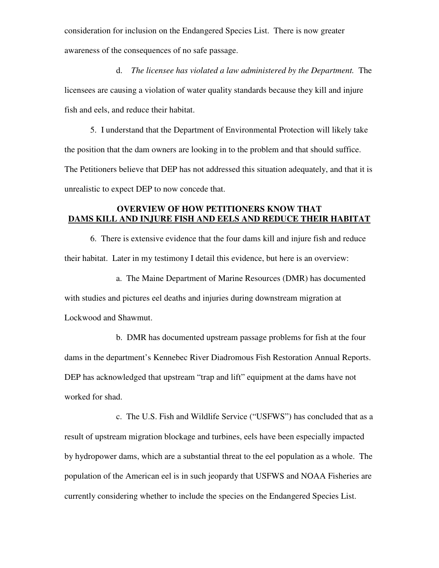consideration for inclusion on the Endangered Species List. There is now greater awareness of the consequences of no safe passage.

 d. *The licensee has violated a law administered by the Department.* The licensees are causing a violation of water quality standards because they kill and injure fish and eels, and reduce their habitat.

 5. I understand that the Department of Environmental Protection will likely take the position that the dam owners are looking in to the problem and that should suffice. The Petitioners believe that DEP has not addressed this situation adequately, and that it is unrealistic to expect DEP to now concede that.

## **OVERVIEW OF HOW PETITIONERS KNOW THAT DAMS KILL AND INJURE FISH AND EELS AND REDUCE THEIR HABITAT**

6. There is extensive evidence that the four dams kill and injure fish and reduce their habitat. Later in my testimony I detail this evidence, but here is an overview:

a. The Maine Department of Marine Resources (DMR) has documented

with studies and pictures eel deaths and injuries during downstream migration at Lockwood and Shawmut.

 b. DMR has documented upstream passage problems for fish at the four dams in the department's Kennebec River Diadromous Fish Restoration Annual Reports. DEP has acknowledged that upstream "trap and lift" equipment at the dams have not worked for shad.

 c. The U.S. Fish and Wildlife Service ("USFWS") has concluded that as a result of upstream migration blockage and turbines, eels have been especially impacted by hydropower dams, which are a substantial threat to the eel population as a whole. The population of the American eel is in such jeopardy that USFWS and NOAA Fisheries are currently considering whether to include the species on the Endangered Species List.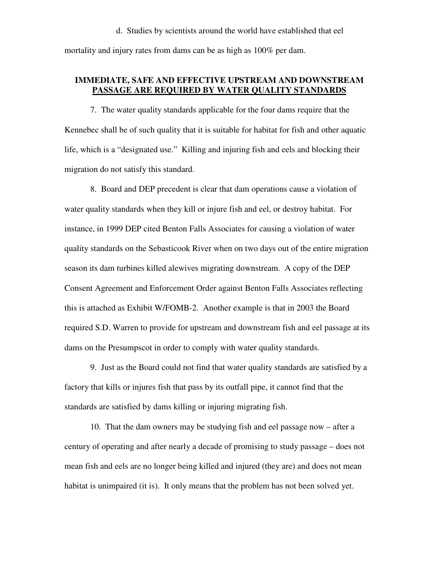#### d. Studies by scientists around the world have established that eel

mortality and injury rates from dams can be as high as 100% per dam.

### **IMMEDIATE, SAFE AND EFFECTIVE UPSTREAM AND DOWNSTREAM PASSAGE ARE REQUIRED BY WATER QUALITY STANDARDS**

 7. The water quality standards applicable for the four dams require that the Kennebec shall be of such quality that it is suitable for habitat for fish and other aquatic life, which is a "designated use." Killing and injuring fish and eels and blocking their migration do not satisfy this standard.

 8. Board and DEP precedent is clear that dam operations cause a violation of water quality standards when they kill or injure fish and eel, or destroy habitat. For instance, in 1999 DEP cited Benton Falls Associates for causing a violation of water quality standards on the Sebasticook River when on two days out of the entire migration season its dam turbines killed alewives migrating downstream. A copy of the DEP Consent Agreement and Enforcement Order against Benton Falls Associates reflecting this is attached as Exhibit W/FOMB-2. Another example is that in 2003 the Board required S.D. Warren to provide for upstream and downstream fish and eel passage at its dams on the Presumpscot in order to comply with water quality standards.

9. Just as the Board could not find that water quality standards are satisfied by a factory that kills or injures fish that pass by its outfall pipe, it cannot find that the standards are satisfied by dams killing or injuring migrating fish.

10. That the dam owners may be studying fish and eel passage now – after a century of operating and after nearly a decade of promising to study passage – does not mean fish and eels are no longer being killed and injured (they are) and does not mean habitat is unimpaired (it is). It only means that the problem has not been solved yet.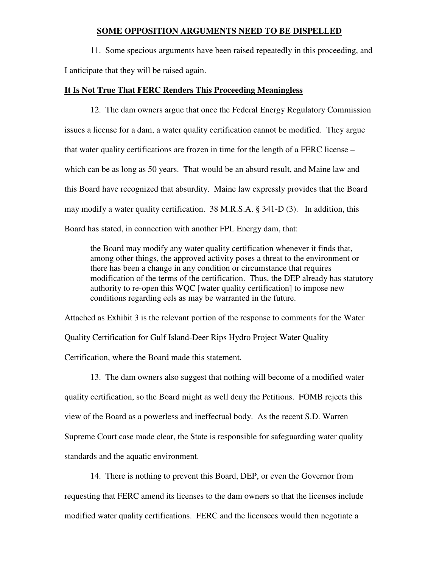#### **SOME OPPOSITION ARGUMENTS NEED TO BE DISPELLED**

 11. Some specious arguments have been raised repeatedly in this proceeding, and I anticipate that they will be raised again.

#### **It Is Not True That FERC Renders This Proceeding Meaningless**

 12. The dam owners argue that once the Federal Energy Regulatory Commission issues a license for a dam, a water quality certification cannot be modified. They argue that water quality certifications are frozen in time for the length of a FERC license – which can be as long as 50 years. That would be an absurd result, and Maine law and this Board have recognized that absurdity. Maine law expressly provides that the Board may modify a water quality certification. 38 M.R.S.A. § 341-D (3). In addition, this Board has stated, in connection with another FPL Energy dam, that:

the Board may modify any water quality certification whenever it finds that, among other things, the approved activity poses a threat to the environment or there has been a change in any condition or circumstance that requires modification of the terms of the certification. Thus, the DEP already has statutory authority to re-open this WQC [water quality certification] to impose new conditions regarding eels as may be warranted in the future.

Attached as Exhibit 3 is the relevant portion of the response to comments for the Water Quality Certification for Gulf Island-Deer Rips Hydro Project Water Quality Certification, where the Board made this statement.

13. The dam owners also suggest that nothing will become of a modified water quality certification, so the Board might as well deny the Petitions. FOMB rejects this view of the Board as a powerless and ineffectual body. As the recent S.D. Warren Supreme Court case made clear, the State is responsible for safeguarding water quality standards and the aquatic environment.

14. There is nothing to prevent this Board, DEP, or even the Governor from requesting that FERC amend its licenses to the dam owners so that the licenses include modified water quality certifications. FERC and the licensees would then negotiate a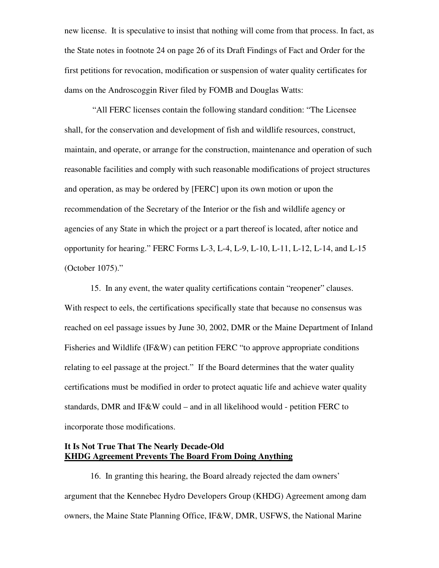new license. It is speculative to insist that nothing will come from that process. In fact, as the State notes in footnote 24 on page 26 of its Draft Findings of Fact and Order for the first petitions for revocation, modification or suspension of water quality certificates for dams on the Androscoggin River filed by FOMB and Douglas Watts:

 "All FERC licenses contain the following standard condition: "The Licensee shall, for the conservation and development of fish and wildlife resources, construct, maintain, and operate, or arrange for the construction, maintenance and operation of such reasonable facilities and comply with such reasonable modifications of project structures and operation, as may be ordered by [FERC] upon its own motion or upon the recommendation of the Secretary of the Interior or the fish and wildlife agency or agencies of any State in which the project or a part thereof is located, after notice and opportunity for hearing." FERC Forms L-3, L-4, L-9, L-10, L-11, L-12, L-14, and L-15 (October 1075)."

15. In any event, the water quality certifications contain "reopener" clauses. With respect to eels, the certifications specifically state that because no consensus was reached on eel passage issues by June 30, 2002, DMR or the Maine Department of Inland Fisheries and Wildlife (IF&W) can petition FERC "to approve appropriate conditions relating to eel passage at the project." If the Board determines that the water quality certifications must be modified in order to protect aquatic life and achieve water quality standards, DMR and IF&W could – and in all likelihood would - petition FERC to incorporate those modifications.

### **It Is Not True That The Nearly Decade-Old KHDG Agreement Prevents The Board From Doing Anything**

 16. In granting this hearing, the Board already rejected the dam owners' argument that the Kennebec Hydro Developers Group (KHDG) Agreement among dam owners, the Maine State Planning Office, IF&W, DMR, USFWS, the National Marine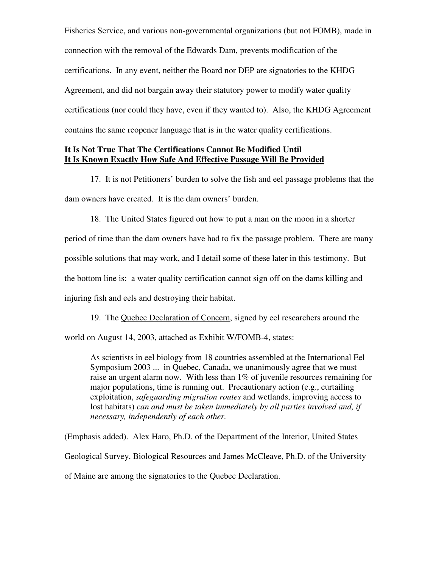Fisheries Service, and various non-governmental organizations (but not FOMB), made in connection with the removal of the Edwards Dam, prevents modification of the certifications. In any event, neither the Board nor DEP are signatories to the KHDG Agreement, and did not bargain away their statutory power to modify water quality certifications (nor could they have, even if they wanted to). Also, the KHDG Agreement contains the same reopener language that is in the water quality certifications.

### **It Is Not True That The Certifications Cannot Be Modified Until It Is Known Exactly How Safe And Effective Passage Will Be Provided**

 17. It is not Petitioners' burden to solve the fish and eel passage problems that the dam owners have created. It is the dam owners' burden.

18. The United States figured out how to put a man on the moon in a shorter period of time than the dam owners have had to fix the passage problem. There are many possible solutions that may work, and I detail some of these later in this testimony. But the bottom line is: a water quality certification cannot sign off on the dams killing and injuring fish and eels and destroying their habitat.

19. The Quebec Declaration of Concern, signed by eel researchers around the world on August 14, 2003, attached as Exhibit W/FOMB-4, states:

As scientists in eel biology from 18 countries assembled at the International Eel Symposium 2003 ... in Quebec, Canada, we unanimously agree that we must raise an urgent alarm now. With less than 1% of juvenile resources remaining for major populations, time is running out. Precautionary action (e.g., curtailing exploitation, *safeguarding migration routes* and wetlands, improving access to lost habitats) *can and must be taken immediately by all parties involved and, if necessary, independently of each other.*

(Emphasis added). Alex Haro, Ph.D. of the Department of the Interior, United States Geological Survey, Biological Resources and James McCleave, Ph.D. of the University of Maine are among the signatories to the Quebec Declaration.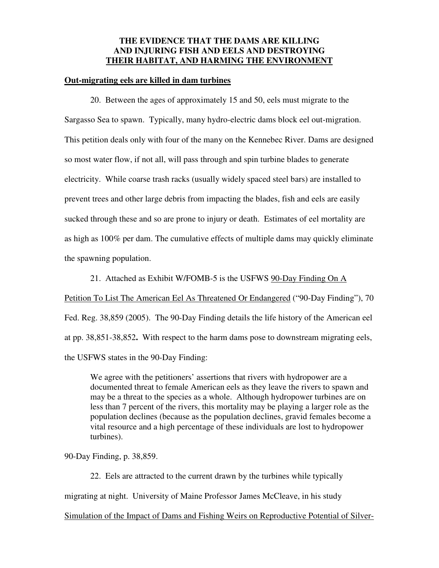### **THE EVIDENCE THAT THE DAMS ARE KILLING AND INJURING FISH AND EELS AND DESTROYING THEIR HABITAT, AND HARMING THE ENVIRONMENT**

#### **Out-migrating eels are killed in dam turbines**

20. Between the ages of approximately 15 and 50, eels must migrate to the Sargasso Sea to spawn. Typically, many hydro-electric dams block eel out-migration. This petition deals only with four of the many on the Kennebec River. Dams are designed so most water flow, if not all, will pass through and spin turbine blades to generate electricity. While coarse trash racks (usually widely spaced steel bars) are installed to prevent trees and other large debris from impacting the blades, fish and eels are easily sucked through these and so are prone to injury or death. Estimates of eel mortality are as high as 100% per dam. The cumulative effects of multiple dams may quickly eliminate the spawning population.

21. Attached as Exhibit W/FOMB-5 is the USFWS 90-Day Finding On A

Petition To List The American Eel As Threatened Or Endangered ("90-Day Finding"), 70 Fed. Reg. 38,859 (2005). The 90-Day Finding details the life history of the American eel at pp. 38,851-38,852**.** With respect to the harm dams pose to downstream migrating eels, the USFWS states in the 90-Day Finding:

We agree with the petitioners' assertions that rivers with hydropower are a documented threat to female American eels as they leave the rivers to spawn and may be a threat to the species as a whole. Although hydropower turbines are on less than 7 percent of the rivers, this mortality may be playing a larger role as the population declines (because as the population declines, gravid females become a vital resource and a high percentage of these individuals are lost to hydropower turbines).

90-Day Finding, p. 38,859.

22. Eels are attracted to the current drawn by the turbines while typically migrating at night. University of Maine Professor James McCleave, in his study Simulation of the Impact of Dams and Fishing Weirs on Reproductive Potential of Silver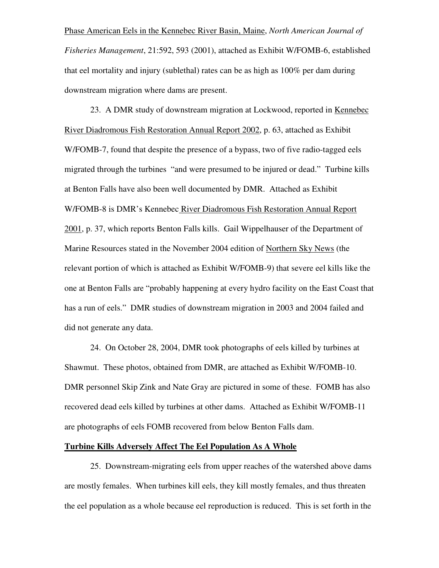Phase American Eels in the Kennebec River Basin, Maine, *North American Journal of Fisheries Management*, 21:592, 593 (2001), attached as Exhibit W/FOMB-6, established that eel mortality and injury (sublethal) rates can be as high as 100% per dam during downstream migration where dams are present.

23. A DMR study of downstream migration at Lockwood, reported in Kennebec River Diadromous Fish Restoration Annual Report 2002, p. 63, attached as Exhibit W/FOMB-7, found that despite the presence of a bypass, two of five radio-tagged eels migrated through the turbines "and were presumed to be injured or dead." Turbine kills at Benton Falls have also been well documented by DMR. Attached as Exhibit W/FOMB-8 is DMR's Kennebec River Diadromous Fish Restoration Annual Report 2001, p. 37, which reports Benton Falls kills. Gail Wippelhauser of the Department of Marine Resources stated in the November 2004 edition of Northern Sky News (the relevant portion of which is attached as Exhibit W/FOMB-9) that severe eel kills like the one at Benton Falls are "probably happening at every hydro facility on the East Coast that has a run of eels." DMR studies of downstream migration in 2003 and 2004 failed and did not generate any data.

24. On October 28, 2004, DMR took photographs of eels killed by turbines at Shawmut. These photos, obtained from DMR, are attached as Exhibit W/FOMB-10. DMR personnel Skip Zink and Nate Gray are pictured in some of these. FOMB has also recovered dead eels killed by turbines at other dams. Attached as Exhibit W/FOMB-11 are photographs of eels FOMB recovered from below Benton Falls dam.

### **Turbine Kills Adversely Affect The Eel Population As A Whole**

 25. Downstream-migrating eels from upper reaches of the watershed above dams are mostly females. When turbines kill eels, they kill mostly females, and thus threaten the eel population as a whole because eel reproduction is reduced. This is set forth in the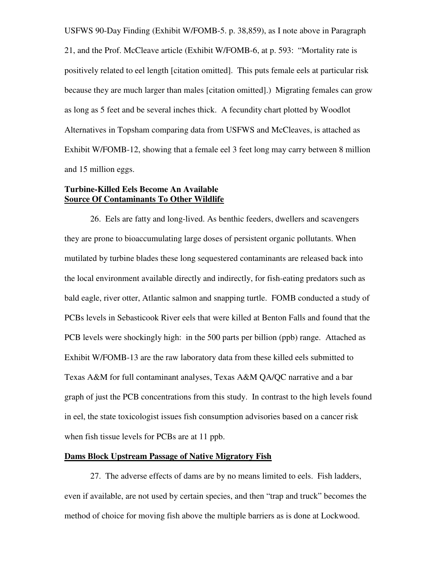USFWS 90-Day Finding (Exhibit W/FOMB-5. p. 38,859), as I note above in Paragraph 21, and the Prof. McCleave article (Exhibit W/FOMB-6, at p. 593: "Mortality rate is positively related to eel length [citation omitted]. This puts female eels at particular risk because they are much larger than males [citation omitted].)Migrating females can grow as long as 5 feet and be several inches thick. A fecundity chart plotted by Woodlot Alternatives in Topsham comparing data from USFWS and McCleaves, is attached as Exhibit W/FOMB-12, showing that a female eel 3 feet long may carry between 8 million and 15 million eggs.

### **Turbine-Killed Eels Become An Available Source Of Contaminants To Other Wildlife**

26. Eels are fatty and long-lived. As benthic feeders, dwellers and scavengers they are prone to bioaccumulating large doses of persistent organic pollutants. When mutilated by turbine blades these long sequestered contaminants are released back into the local environment available directly and indirectly, for fish-eating predators such as bald eagle, river otter, Atlantic salmon and snapping turtle. FOMB conducted a study of PCBs levels in Sebasticook River eels that were killed at Benton Falls and found that the PCB levels were shockingly high: in the 500 parts per billion (ppb) range. Attached as Exhibit W/FOMB-13 are the raw laboratory data from these killed eels submitted to Texas A&M for full contaminant analyses, Texas A&M QA/QC narrative and a bar graph of just the PCB concentrations from this study. In contrast to the high levels found in eel, the state toxicologist issues fish consumption advisories based on a cancer risk when fish tissue levels for PCBs are at 11 ppb.

#### **Dams Block Upstream Passage of Native Migratory Fish**

27. The adverse effects of dams are by no means limited to eels. Fish ladders, even if available, are not used by certain species, and then "trap and truck" becomes the method of choice for moving fish above the multiple barriers as is done at Lockwood.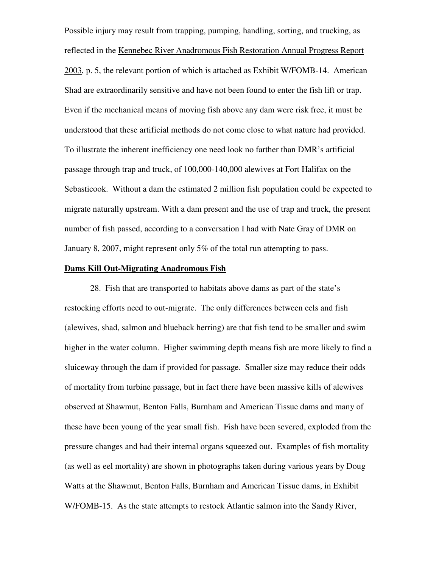Possible injury may result from trapping, pumping, handling, sorting, and trucking, as reflected in the Kennebec River Anadromous Fish Restoration Annual Progress Report 2003, p. 5, the relevant portion of which is attached as Exhibit W/FOMB-14. American Shad are extraordinarily sensitive and have not been found to enter the fish lift or trap. Even if the mechanical means of moving fish above any dam were risk free, it must be understood that these artificial methods do not come close to what nature had provided. To illustrate the inherent inefficiency one need look no farther than DMR's artificial passage through trap and truck, of 100,000-140,000 alewives at Fort Halifax on the Sebasticook. Without a dam the estimated 2 million fish population could be expected to migrate naturally upstream. With a dam present and the use of trap and truck, the present number of fish passed, according to a conversation I had with Nate Gray of DMR on January 8, 2007, might represent only 5% of the total run attempting to pass.

### **Dams Kill Out-Migrating Anadromous Fish**

28. Fish that are transported to habitats above dams as part of the state's restocking efforts need to out-migrate. The only differences between eels and fish (alewives, shad, salmon and blueback herring) are that fish tend to be smaller and swim higher in the water column. Higher swimming depth means fish are more likely to find a sluiceway through the dam if provided for passage. Smaller size may reduce their odds of mortality from turbine passage, but in fact there have been massive kills of alewives observed at Shawmut, Benton Falls, Burnham and American Tissue dams and many of these have been young of the year small fish. Fish have been severed, exploded from the pressure changes and had their internal organs squeezed out. Examples of fish mortality (as well as eel mortality) are shown in photographs taken during various years by Doug Watts at the Shawmut, Benton Falls, Burnham and American Tissue dams, in Exhibit W/FOMB-15. As the state attempts to restock Atlantic salmon into the Sandy River,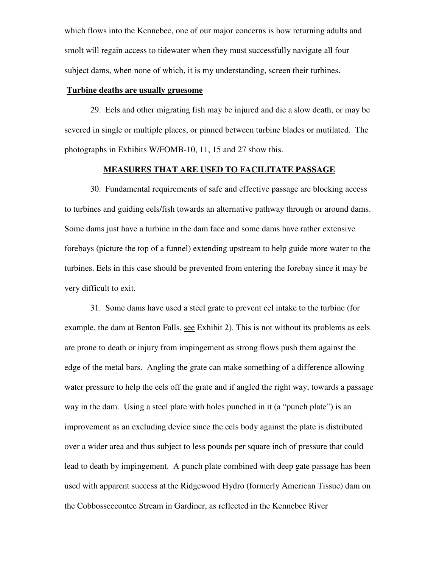which flows into the Kennebec, one of our major concerns is how returning adults and smolt will regain access to tidewater when they must successfully navigate all four subject dams, when none of which, it is my understanding, screen their turbines.

#### **Turbine deaths are usually gruesome**

29. Eels and other migrating fish may be injured and die a slow death, or may be severed in single or multiple places, or pinned between turbine blades or mutilated. The photographs in Exhibits W/FOMB-10, 11, 15 and 27 show this.

#### **MEASURES THAT ARE USED TO FACILITATE PASSAGE**

 30. Fundamental requirements of safe and effective passage are blocking access to turbines and guiding eels/fish towards an alternative pathway through or around dams. Some dams just have a turbine in the dam face and some dams have rather extensive forebays (picture the top of a funnel) extending upstream to help guide more water to the turbines. Eels in this case should be prevented from entering the forebay since it may be very difficult to exit.

31. Some dams have used a steel grate to prevent eel intake to the turbine (for example, the dam at Benton Falls, see Exhibit 2). This is not without its problems as eels are prone to death or injury from impingement as strong flows push them against the edge of the metal bars. Angling the grate can make something of a difference allowing water pressure to help the eels off the grate and if angled the right way, towards a passage way in the dam. Using a steel plate with holes punched in it (a "punch plate") is an improvement as an excluding device since the eels body against the plate is distributed over a wider area and thus subject to less pounds per square inch of pressure that could lead to death by impingement. A punch plate combined with deep gate passage has been used with apparent success at the Ridgewood Hydro (formerly American Tissue) dam on the Cobbosseecontee Stream in Gardiner, as reflected in the Kennebec River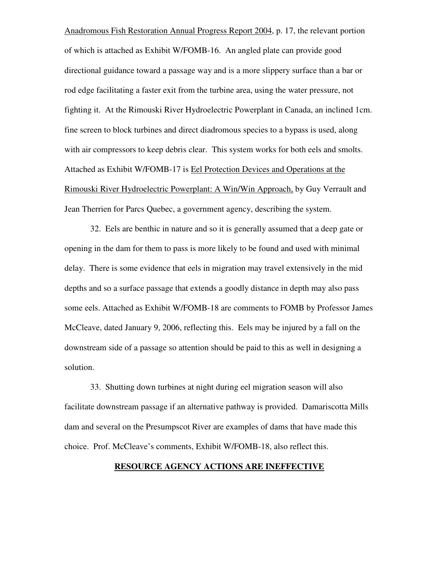Anadromous Fish Restoration Annual Progress Report 2004, p. 17, the relevant portion of which is attached as Exhibit W/FOMB-16. An angled plate can provide good directional guidance toward a passage way and is a more slippery surface than a bar or rod edge facilitating a faster exit from the turbine area, using the water pressure, not fighting it. At the Rimouski River Hydroelectric Powerplant in Canada, an inclined 1cm. fine screen to block turbines and direct diadromous species to a bypass is used, along with air compressors to keep debris clear. This system works for both eels and smolts. Attached as Exhibit W/FOMB-17 is Eel Protection Devices and Operations at the Rimouski River Hydroelectric Powerplant: A Win/Win Approach, by Guy Verrault and Jean Therrien for Parcs Quebec, a government agency, describing the system.

 32. Eels are benthic in nature and so it is generally assumed that a deep gate or opening in the dam for them to pass is more likely to be found and used with minimal delay. There is some evidence that eels in migration may travel extensively in the mid depths and so a surface passage that extends a goodly distance in depth may also pass some eels. Attached as Exhibit W/FOMB-18 are comments to FOMB by Professor James McCleave, dated January 9, 2006, reflecting this. Eels may be injured by a fall on the downstream side of a passage so attention should be paid to this as well in designing a solution.

 33. Shutting down turbines at night during eel migration season will also facilitate downstream passage if an alternative pathway is provided. Damariscotta Mills dam and several on the Presumpscot River are examples of dams that have made this choice. Prof. McCleave's comments, Exhibit W/FOMB-18, also reflect this.

### **RESOURCE AGENCY ACTIONS ARE INEFFECTIVE**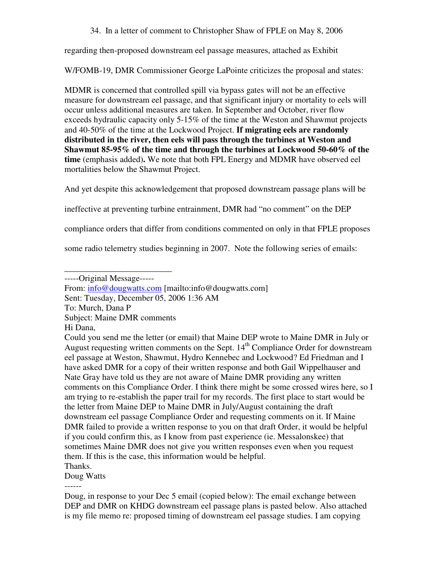34. In a letter of comment to Christopher Shaw of FPLE on May 8, 2006

regarding then-proposed downstream eel passage measures, attached as Exhibit

W/FOMB-19, DMR Commissioner George LaPointe criticizes the proposal and states:

MDMR is concerned that controlled spill via bypass gates will not be an effective measure for downstream eel passage, and that significant injury or mortality to eels will occur unless additional measures are taken. In September and October, river flow exceeds hydraulic capacity only 5-15% of the time at the Weston and Shawmut projects and 40-50% of the time at the Lockwood Project. **If migrating eels are randomly distributed in the river, then eels will pass through the turbines at Weston and Shawmut 85-95% of the time and through the turbines at Lockwood 50-60% of the time** (emphasis added)**.** We note that both FPL Energy and MDMR have observed eel mortalities below the Shawmut Project.

And yet despite this acknowledgement that proposed downstream passage plans will be

ineffective at preventing turbine entrainment, DMR had "no comment" on the DEP

compliance orders that differ from conditions commented on only in that FPLE proposes

some radio telemetry studies beginning in 2007. Note the following series of emails:

- Sent: Tuesday, December 05, 2006 1:36 AM
- To: Murch, Dana P
- Subject: Maine DMR comments
- Hi Dana,

Thanks.

Doug Watts

------

\_\_\_\_\_\_\_\_\_\_\_\_\_\_\_\_\_\_\_\_\_\_\_\_\_ -----Original Message-----

From: info@dougwatts.com [mailto:info@dougwatts.com]

Could you send me the letter (or email) that Maine DEP wrote to Maine DMR in July or August requesting written comments on the Sept.  $14<sup>th</sup>$  Compliance Order for downstream eel passage at Weston, Shawmut, Hydro Kennebec and Lockwood? Ed Friedman and I have asked DMR for a copy of their written response and both Gail Wippelhauser and Nate Gray have told us they are not aware of Maine DMR providing any written comments on this Compliance Order. I think there might be some crossed wires here, so I am trying to re-establish the paper trail for my records. The first place to start would be the letter from Maine DEP to Maine DMR in July/August containing the draft downstream eel passage Compliance Order and requesting comments on it. If Maine DMR failed to provide a written response to you on that draft Order, it would be helpful if you could confirm this, as I know from past experience (ie. Messalonskee) that sometimes Maine DMR does not give you written responses even when you request them. If this is the case, this information would be helpful.

Doug, in response to your Dec 5 email (copied below): The email exchange between DEP and DMR on KHDG downstream eel passage plans is pasted below. Also attached is my file memo re: proposed timing of downstream eel passage studies. I am copying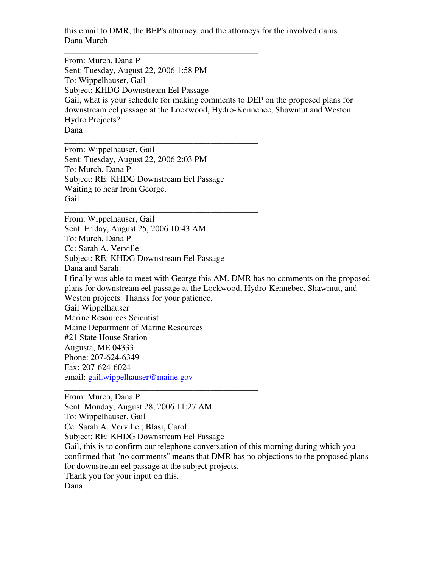this email to DMR, the BEP's attorney, and the attorneys for the involved dams. Dana Murch

From: Murch, Dana P Sent: Tuesday, August 22, 2006 1:58 PM To: Wippelhauser, Gail Subject: KHDG Downstream Eel Passage Gail, what is your schedule for making comments to DEP on the proposed plans for downstream eel passage at the Lockwood, Hydro-Kennebec, Shawmut and Weston Hydro Projects? Dana

From: Wippelhauser, Gail Sent: Tuesday, August 22, 2006 2:03 PM To: Murch, Dana P Subject: RE: KHDG Downstream Eel Passage Waiting to hear from George. Gail

\_\_\_\_\_\_\_\_\_\_\_\_\_\_\_\_\_\_\_\_\_\_\_\_\_\_\_\_\_\_\_\_\_\_\_\_\_\_\_\_\_\_\_\_\_

\_\_\_\_\_\_\_\_\_\_\_\_\_\_\_\_\_\_\_\_\_\_\_\_\_\_\_\_\_\_\_\_\_\_\_\_\_\_\_\_\_\_\_\_\_

\_\_\_\_\_\_\_\_\_\_\_\_\_\_\_\_\_\_\_\_\_\_\_\_\_\_\_\_\_\_\_\_\_\_\_\_\_\_\_\_\_\_\_\_\_

\_\_\_\_\_\_\_\_\_\_\_\_\_\_\_\_\_\_\_\_\_\_\_\_\_\_\_\_\_\_\_\_\_\_\_\_\_\_\_\_\_\_\_\_\_

From: Wippelhauser, Gail Sent: Friday, August 25, 2006 10:43 AM To: Murch, Dana P Cc: Sarah A. Verville Subject: RE: KHDG Downstream Eel Passage Dana and Sarah: I finally was able to meet with George this AM. DMR has no comments on the proposed plans for downstream eel passage at the Lockwood, Hydro-Kennebec, Shawmut, and Weston projects. Thanks for your patience. Gail Wippelhauser Marine Resources Scientist Maine Department of Marine Resources #21 State House Station Augusta, ME 04333 Phone: 207-624-6349 Fax: 207-624-6024 email: gail.wippelhauser@maine.gov

From: Murch, Dana P Sent: Monday, August 28, 2006 11:27 AM To: Wippelhauser, Gail Cc: Sarah A. Verville ; Blasi, Carol Subject: RE: KHDG Downstream Eel Passage Gail, this is to confirm our telephone conversation of this morning during which you confirmed that "no comments" means that DMR has no objections to the proposed plans for downstream eel passage at the subject projects. Thank you for your input on this. Dana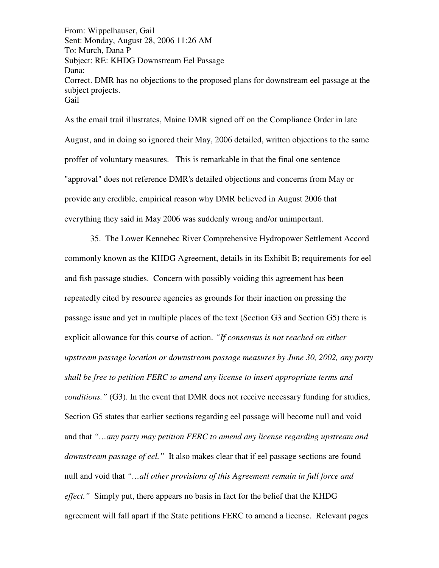From: Wippelhauser, Gail Sent: Monday, August 28, 2006 11:26 AM To: Murch, Dana P Subject: RE: KHDG Downstream Eel Passage Dana: Correct. DMR has no objections to the proposed plans for downstream eel passage at the subject projects. **Gail** 

As the email trail illustrates, Maine DMR signed off on the Compliance Order in late August, and in doing so ignored their May, 2006 detailed, written objections to the same proffer of voluntary measures. This is remarkable in that the final one sentence "approval" does not reference DMR's detailed objections and concerns from May or provide any credible, empirical reason why DMR believed in August 2006 that everything they said in May 2006 was suddenly wrong and/or unimportant.

 35. The Lower Kennebec River Comprehensive Hydropower Settlement Accord commonly known as the KHDG Agreement, details in its Exhibit B; requirements for eel and fish passage studies. Concern with possibly voiding this agreement has been repeatedly cited by resource agencies as grounds for their inaction on pressing the passage issue and yet in multiple places of the text (Section G3 and Section G5) there is explicit allowance for this course of action. *"If consensus is not reached on either upstream passage location or downstream passage measures by June 30, 2002, any party shall be free to petition FERC to amend any license to insert appropriate terms and conditions."* (G3). In the event that DMR does not receive necessary funding for studies, Section G5 states that earlier sections regarding eel passage will become null and void and that *"…any party may petition FERC to amend any license regarding upstream and downstream passage of eel."* It also makes clear that if eel passage sections are found null and void that *"…all other provisions of this Agreement remain in full force and effect.*" Simply put, there appears no basis in fact for the belief that the KHDG agreement will fall apart if the State petitions FERC to amend a license. Relevant pages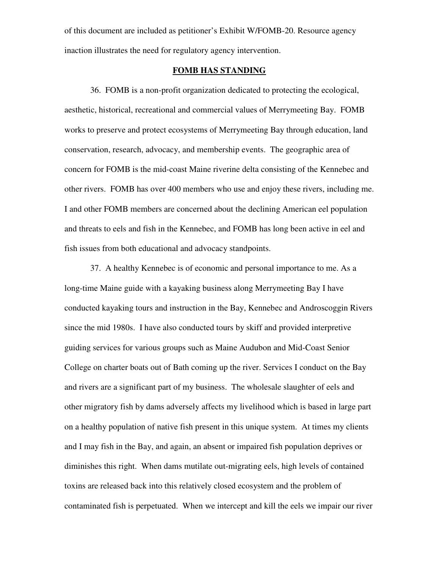of this document are included as petitioner's Exhibit W/FOMB-20. Resource agency inaction illustrates the need for regulatory agency intervention.

#### **FOMB HAS STANDING**

 36. FOMB is a non-profit organization dedicated to protecting the ecological, aesthetic, historical, recreational and commercial values of Merrymeeting Bay. FOMB works to preserve and protect ecosystems of Merrymeeting Bay through education, land conservation, research, advocacy, and membership events. The geographic area of concern for FOMB is the mid-coast Maine riverine delta consisting of the Kennebec and other rivers. FOMB has over 400 members who use and enjoy these rivers, including me. I and other FOMB members are concerned about the declining American eel population and threats to eels and fish in the Kennebec, and FOMB has long been active in eel and fish issues from both educational and advocacy standpoints.

37. A healthy Kennebec is of economic and personal importance to me. As a long-time Maine guide with a kayaking business along Merrymeeting Bay I have conducted kayaking tours and instruction in the Bay, Kennebec and Androscoggin Rivers since the mid 1980s. I have also conducted tours by skiff and provided interpretive guiding services for various groups such as Maine Audubon and Mid-Coast Senior College on charter boats out of Bath coming up the river. Services I conduct on the Bay and rivers are a significant part of my business. The wholesale slaughter of eels and other migratory fish by dams adversely affects my livelihood which is based in large part on a healthy population of native fish present in this unique system. At times my clients and I may fish in the Bay, and again, an absent or impaired fish population deprives or diminishes this right. When dams mutilate out-migrating eels, high levels of contained toxins are released back into this relatively closed ecosystem and the problem of contaminated fish is perpetuated. When we intercept and kill the eels we impair our river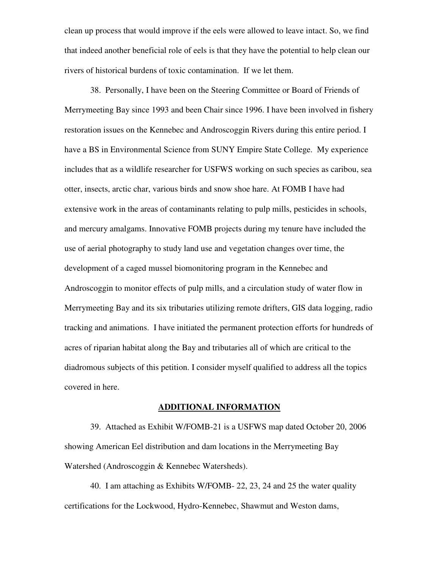clean up process that would improve if the eels were allowed to leave intact. So, we find that indeed another beneficial role of eels is that they have the potential to help clean our rivers of historical burdens of toxic contamination. If we let them.

38. Personally, I have been on the Steering Committee or Board of Friends of Merrymeeting Bay since 1993 and been Chair since 1996. I have been involved in fishery restoration issues on the Kennebec and Androscoggin Rivers during this entire period. I have a BS in Environmental Science from SUNY Empire State College. My experience includes that as a wildlife researcher for USFWS working on such species as caribou, sea otter, insects, arctic char, various birds and snow shoe hare. At FOMB I have had extensive work in the areas of contaminants relating to pulp mills, pesticides in schools, and mercury amalgams. Innovative FOMB projects during my tenure have included the use of aerial photography to study land use and vegetation changes over time, the development of a caged mussel biomonitoring program in the Kennebec and Androscoggin to monitor effects of pulp mills, and a circulation study of water flow in Merrymeeting Bay and its six tributaries utilizing remote drifters, GIS data logging, radio tracking and animations.I have initiated the permanent protection efforts for hundreds of acres of riparian habitat along the Bay and tributaries all of which are critical to the diadromous subjects of this petition. I consider myself qualified to address all the topics covered in here.

#### **ADDITIONAL INFORMATION**

39. Attached as Exhibit W/FOMB-21 is a USFWS map dated October 20, 2006 showing American Eel distribution and dam locations in the Merrymeeting Bay Watershed (Androscoggin & Kennebec Watersheds).

 40. I am attaching as Exhibits W/FOMB- 22, 23, 24 and 25 the water quality certifications for the Lockwood, Hydro-Kennebec, Shawmut and Weston dams,